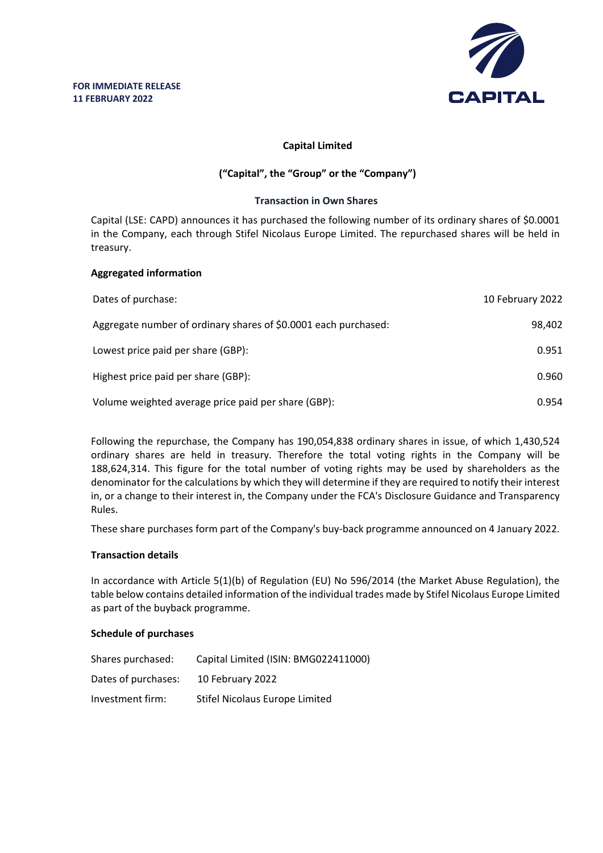

# **Capital Limited**

# **("Capital", the "Group" or the "Company")**

#### **Transaction in Own Shares**

Capital (LSE: CAPD) announces it has purchased the following number of its ordinary shares of \$0.0001 in the Company, each through Stifel Nicolaus Europe Limited. The repurchased shares will be held in treasury.

# **Aggregated information**

| Dates of purchase:                                              | 10 February 2022 |
|-----------------------------------------------------------------|------------------|
| Aggregate number of ordinary shares of \$0.0001 each purchased: | 98,402           |
| Lowest price paid per share (GBP):                              | 0.951            |
| Highest price paid per share (GBP):                             | 0.960            |
| Volume weighted average price paid per share (GBP):             | 0.954            |

Following the repurchase, the Company has 190,054,838 ordinary shares in issue, of which 1,430,524 ordinary shares are held in treasury. Therefore the total voting rights in the Company will be 188,624,314. This figure for the total number of voting rights may be used by shareholders as the denominator for the calculations by which they will determine if they are required to notify their interest in, or a change to their interest in, the Company under the FCA's Disclosure Guidance and Transparency Rules.

These share purchases form part of the Company's buy-back programme announced on 4 January 2022.

# **Transaction details**

In accordance with Article 5(1)(b) of Regulation (EU) No 596/2014 (the Market Abuse Regulation), the table below contains detailed information of the individual trades made by Stifel Nicolaus Europe Limited as part of the buyback programme.

# **Schedule of purchases**

| Shares purchased:   | Capital Limited (ISIN: BMG022411000) |
|---------------------|--------------------------------------|
| Dates of purchases: | 10 February 2022                     |
| Investment firm:    | Stifel Nicolaus Europe Limited       |